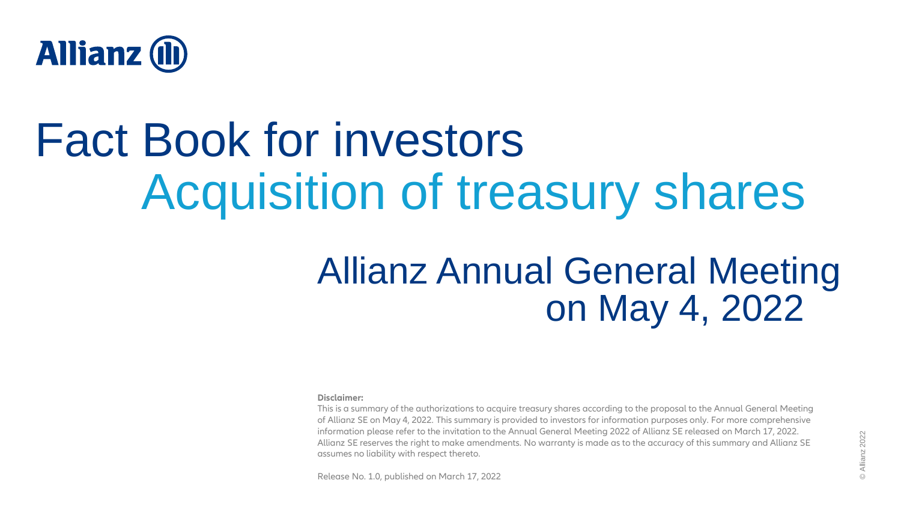

# Fact Book for investors Acquisition of treasury shares

# Allianz Annual General Meeting on May 4, 2022

#### **Disclaimer:**

This is a summary of the authorizations to acquire treasury shares according to the proposal to the Annual General Meeting of Allianz SE on May 4, 2022. This summary is provided to investors for information purposes only. For more comprehensive information please refer to the invitation to the Annual General Meeting 2022 of Allianz SE released on March 17, 2022. Allianz SE reserves the right to make amendments. No warranty is made as to the accuracy of this summary and Allianz SE assumes no liability with respect thereto.

Release No. 1.0, published on March 17, 2022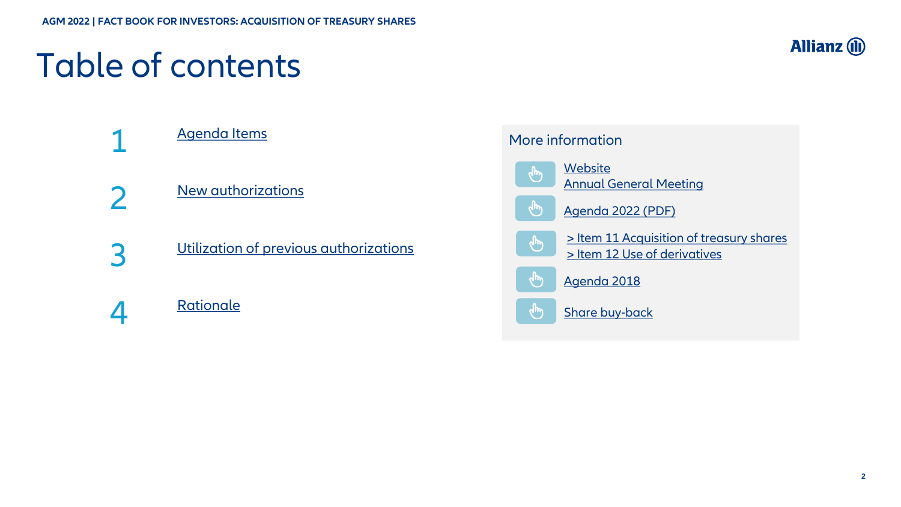## Table of contents



[Agenda Items](#page-2-0) [New authorizations](#page-3-0)

3

4

1

2

[Utilization of previous authorizations](#page-4-0)

**[Rationale](#page-6-0)** 

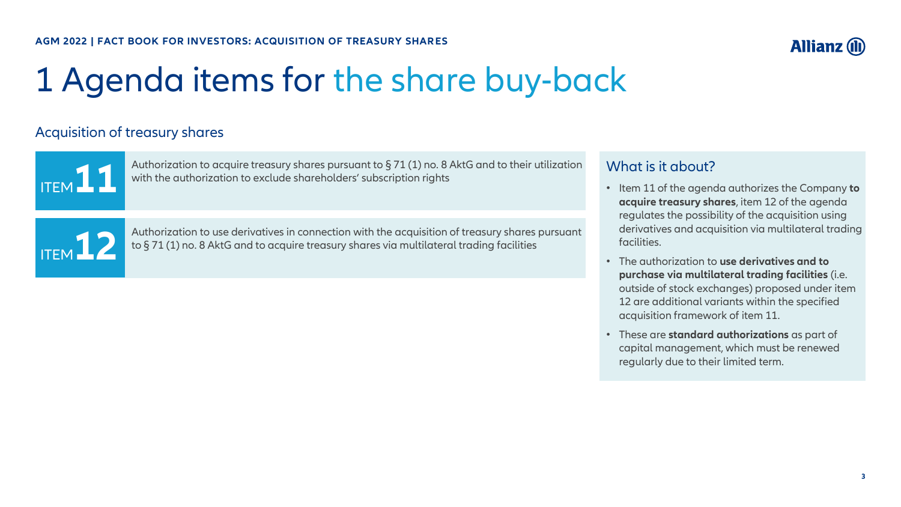## <span id="page-2-0"></span>1 Agenda items for the share buy-back

## Acquisition of treasury shares

ITEM**11**

ITEM**12**

Authorization to acquire treasury shares pursuant to § 71 (1) no. 8 AktG and to their utilization with the authorization to exclude shareholders' subscription rights

Authorization to use derivatives in connection with the acquisition of treasury shares pursuant to § 71 (1) no. 8 AktG and to acquire treasury shares via multilateral trading facilities

## What is it about?

• Item 11 of the agenda authorizes the Company **to acquire treasury shares**, item 12 of the agenda regulates the possibility of the acquisition using derivatives and acquisition via multilateral trading facilities.

**Allianz (II** 

- The authorization to **use derivatives and to purchase via multilateral trading facilities** (i.e. outside of stock exchanges) proposed under item 12 are additional variants within the specified acquisition framework of item 11.
- These are **standard authorizations** as part of capital management, which must be renewed regularly due to their limited term.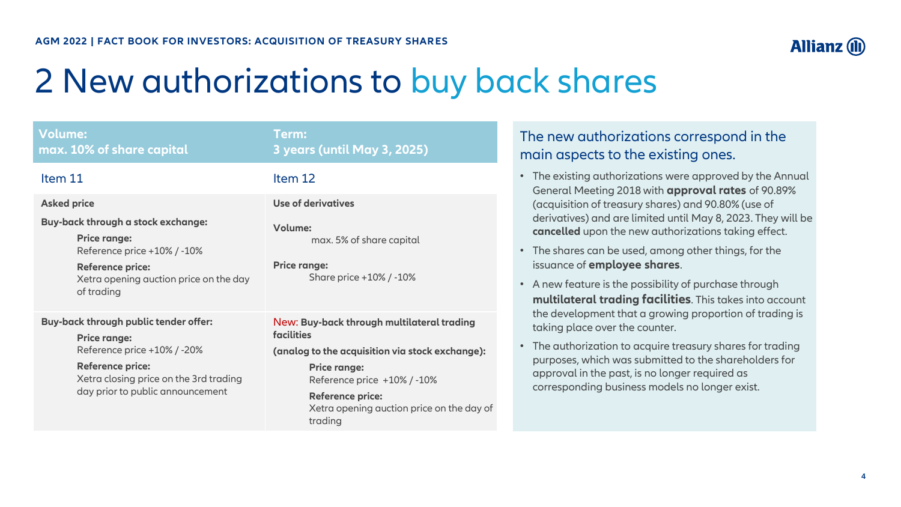# <span id="page-3-0"></span>2 New authorizations to buy back shares

| <b>Volume:</b><br>max. 10% of share capital                                                                                                                                                          | Term:<br>3 years (until May 3, 2025)                                                                                                                                                                                                                 |
|------------------------------------------------------------------------------------------------------------------------------------------------------------------------------------------------------|------------------------------------------------------------------------------------------------------------------------------------------------------------------------------------------------------------------------------------------------------|
| Item 11                                                                                                                                                                                              | Item 12                                                                                                                                                                                                                                              |
| <b>Asked price</b><br>Buy-back through a stock exchange:<br><b>Price range:</b><br>Reference price +10% / -10%<br><b>Reference price:</b><br>Xetra opening auction price on the day<br>of trading    | <b>Use of derivatives</b><br><b>Volume:</b><br>max. 5% of share capital<br><b>Price range:</b><br>Share price +10% / -10%                                                                                                                            |
| Buy-back through public tender offer:<br><b>Price range:</b><br>Reference price +10% / -20%<br><b>Reference price:</b><br>Xetra closing price on the 3rd trading<br>day prior to public announcement | New: Buy-back through multilateral trading<br>facilities<br>(analog to the acquisition via stock exchange):<br><b>Price range:</b><br>Reference price +10% / -10%<br><b>Reference price:</b><br>Xetra opening auction price on the day of<br>trading |

## The new authorizations correspond in the main aspects to the existing ones.

- The existing authorizations were approved by the Annual General Meeting 2018 with **approval rates** of 90.89% (acquisition of treasury shares) and 90.80% (use of derivatives) and are limited until May 8, 2023. They will be **cancelled** upon the new authorizations taking effect.
- The shares can be used, among other things, for the issuance of **employee shares**.
- A new feature is the possibility of purchase through **multilateral trading facilities**. This takes into account the development that a growing proportion of trading is taking place over the counter.
- The authorization to acquire treasury shares for trading purposes, which was submitted to the shareholders for approval in the past, is no longer required as corresponding business models no longer exist.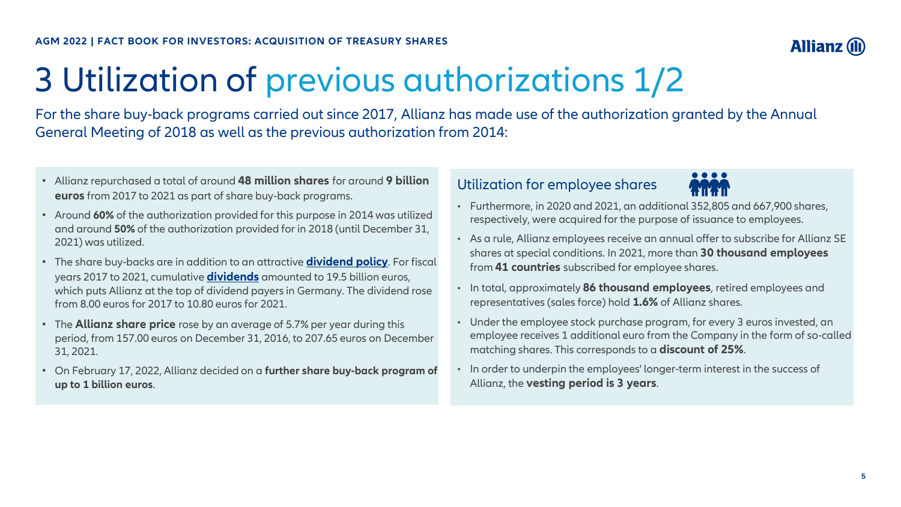## **Allianz (i)**

# <span id="page-4-0"></span>3 Utilization of previous authorizations 1/2

For the share buy-back programs carried out since 2017, Allianz has made use of the authorization granted by the Annual General Meeting of 2018 as well as the previous authorization from 2014:

- Allianz repurchased a total of around **48 million shares** for around **9 billion euros** from 2017 to 2021 as part of share buy-back programs.
- Around **60%** of the authorization provided for this purpose in 2014 was utilized and around **50%** of the authorization provided for in 2018 (until December 31, 2021) was utilized.
- The share buy-backs are in addition to an attractive **[dividend policy](https://www.allianz.com/en/investor_relations/share/dividend.html#policy)**. For fiscal years 2017 to 2021, cumulative **[dividends](https://www.allianz.com/en/investor_relations/share/dividend.html#history)** amounted to 19.5 billion euros, which puts Allianz at the top of dividend payers in Germany. The dividend rose from 8.00 euros for 2017 to 10.80 euros for 2021.
- The **Allianz share price** rose by an average of 5.7% per year during this period, from 157.00 euros on December 31, 2016, to 207.65 euros on December 31, 2021.
- On February 17, 2022, Allianz decided on a **further share buy-back program of up to 1 billion euros**.

## Utilization for employee shares



- Furthermore, in 2020 and 2021, an additional 352,805 and 667,900 shares, respectively, were acquired for the purpose of issuance to employees.
- As a rule, Allianz employees receive an annual offer to subscribe for Allianz SE shares at special conditions. In 2021, more than **30 thousand employees**  from **41 countries** subscribed for employee shares.
- In total, approximately **86 thousand employees**, retired employees and representatives (sales force) hold **1.6%** of Allianz shares.
- Under the employee stock purchase program, for every 3 euros invested, an employee receives 1 additional euro from the Company in the form of so-called matching shares. This corresponds to a **discount of 25%**.
- In order to underpin the employees' longer-term interest in the success of Allianz, the **vesting period is 3 years**.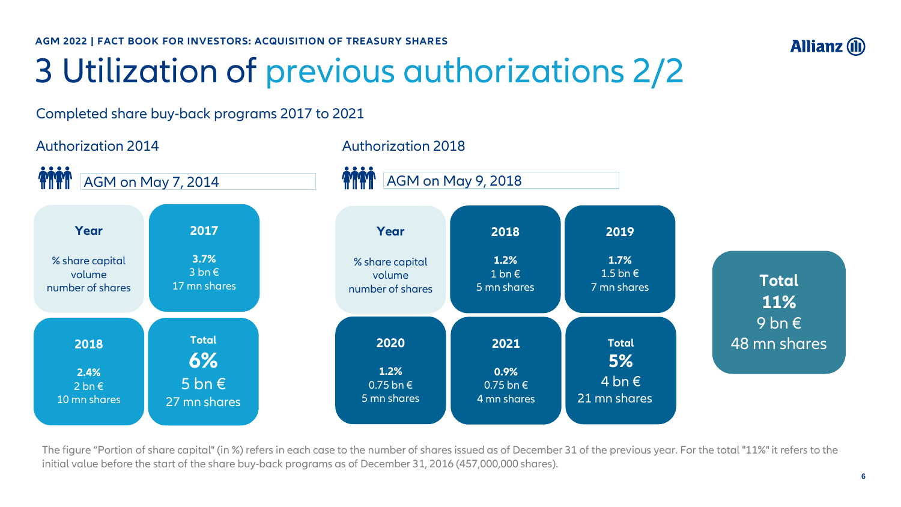**AGM 2022 | FACT BOOK FOR INVESTORS: ACQUISITION OF TREASURY SHARES** 

# 3 Utilization of previous authorizations 2/2

## Completed share buy-back programs 2017 to 2021



The figure "Portion of share capital" (in %) refers in each case to the number of shares issued as of December 31 of the previous year. For the total "11%" it refers to the initial value before the start of the share buy-back programs as of December 31, 2016 (457,000,000 shares).

**Allianz (II)**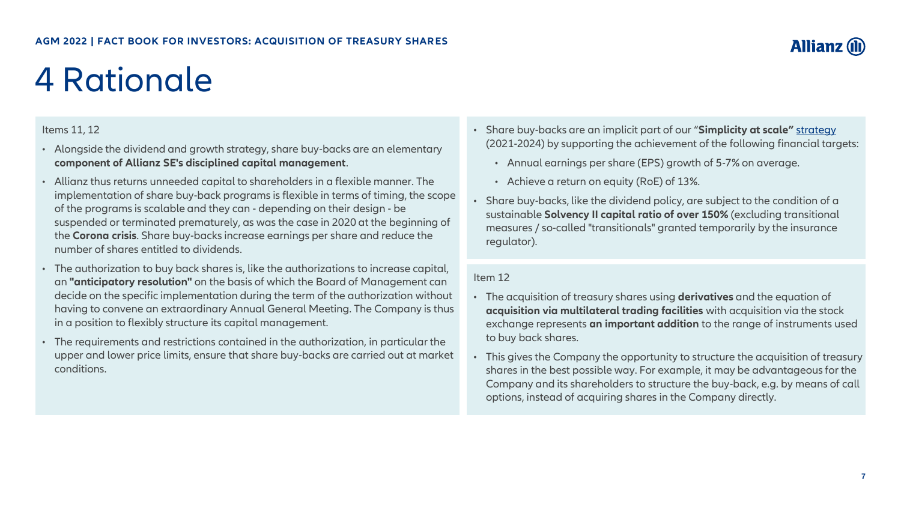# <span id="page-6-0"></span>4 Rationale

### Items 11, 12

- Alongside the dividend and growth strategy, share buy-backs are an elementary **component of Allianz SE's disciplined capital management**.
- Allianz thus returns unneeded capital to shareholders in a flexible manner. The implementation of share buy-back programs is flexible in terms of timing, the scope of the programs is scalable and they can - depending on their design - be suspended or terminated prematurely, as was the case in 2020 at the beginning of the **Corona crisis**. Share buy-backs increase earnings per share and reduce the number of shares entitled to dividends.
- The authorization to buy back shares is, like the authorizations to increase capital, an **"anticipatory resolution"** on the basis of which the Board of Management can decide on the specific implementation during the term of the authorization without having to convene an extraordinary Annual General Meeting. The Company is thus in a position to flexibly structure its capital management.
- The requirements and restrictions contained in the authorization, in particular the upper and lower price limits, ensure that share buy-backs are carried out at market conditions.
- Share buy-backs are an implicit part of our "**Simplicity at scale"** [strategy](https://www.allianz.com/en/about-us/strategy-values/strategy.html) (2021-2024) by supporting the achievement of the following financial targets:
	- Annual earnings per share (EPS) growth of 5-7% on average.
	- Achieve a return on equity (RoE) of 13%.
- Share buy-backs, like the dividend policy, are subject to the condition of a sustainable **Solvency II capital ratio of over 150%** (excluding transitional measures / so-called "transitionals" granted temporarily by the insurance regulator).

#### Item 12

- The acquisition of treasury shares using **derivatives** and the equation of **acquisition via multilateral trading facilities** with acquisition via the stock exchange represents **an important addition** to the range of instruments used to buy back shares.
- This gives the Company the opportunity to structure the acquisition of treasury shares in the best possible way. For example, it may be advantageous for the Company and its shareholders to structure the buy-back, e.g. by means of call options, instead of acquiring shares in the Company directly.

**Allianz**